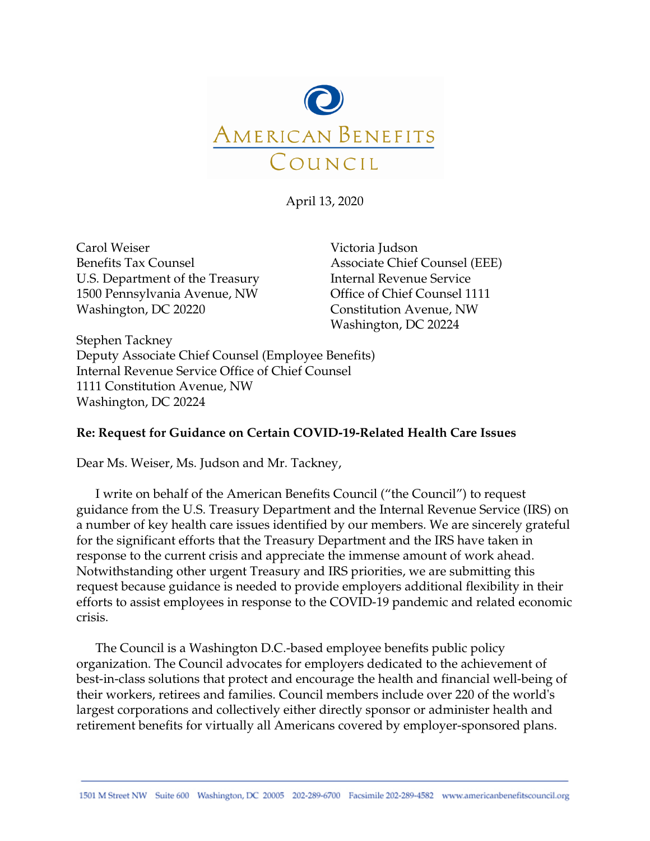

April 13, 2020

Carol Weiser Benefits Tax Counsel U.S. Department of the Treasury 1500 Pennsylvania Avenue, NW Washington, DC 20220

Victoria Judson Associate Chief Counsel (EEE) Internal Revenue Service Office of Chief Counsel 1111 Constitution Avenue, NW Washington, DC 20224

Stephen Tackney Deputy Associate Chief Counsel (Employee Benefits) Internal Revenue Service Office of Chief Counsel 1111 Constitution Avenue, NW Washington, DC 20224

# **Re: Request for Guidance on Certain COVID-19-Related Health Care Issues**

Dear Ms. Weiser, Ms. Judson and Mr. Tackney,

I write on behalf of the American Benefits Council ("the Council") to request guidance from the U.S. Treasury Department and the Internal Revenue Service (IRS) on a number of key health care issues identified by our members. We are sincerely grateful for the significant efforts that the Treasury Department and the IRS have taken in response to the current crisis and appreciate the immense amount of work ahead. Notwithstanding other urgent Treasury and IRS priorities, we are submitting this request because guidance is needed to provide employers additional flexibility in their efforts to assist employees in response to the COVID-19 pandemic and related economic crisis.

The Council is a Washington D.C.-based employee benefits public policy organization. The Council advocates for employers dedicated to the achievement of best-in-class solutions that protect and encourage the health and financial well-being of their workers, retirees and families. Council members include over 220 of the world's largest corporations and collectively either directly sponsor or administer health and retirement benefits for virtually all Americans covered by employer-sponsored plans.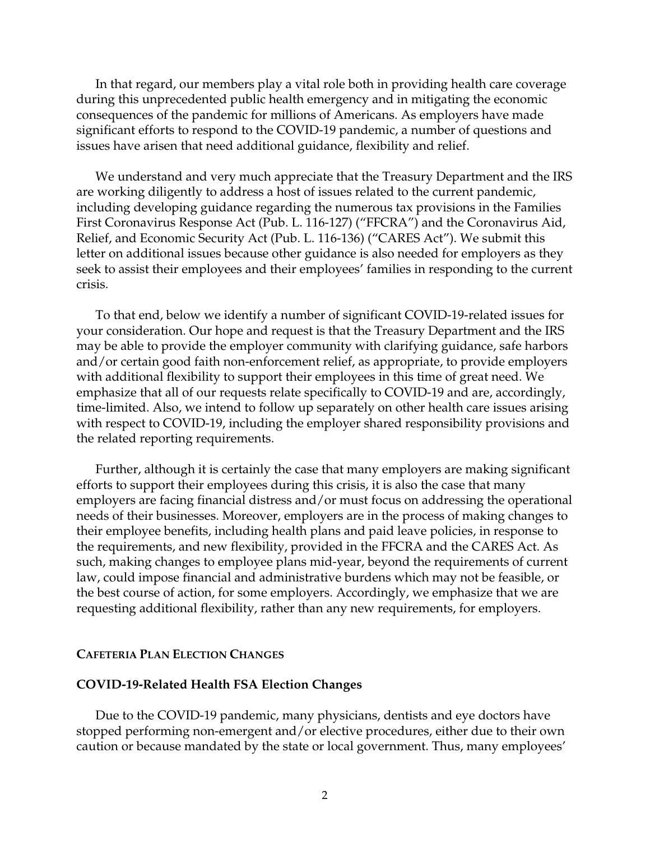In that regard, our members play a vital role both in providing health care coverage during this unprecedented public health emergency and in mitigating the economic consequences of the pandemic for millions of Americans. As employers have made significant efforts to respond to the COVID-19 pandemic, a number of questions and issues have arisen that need additional guidance, flexibility and relief.

We understand and very much appreciate that the Treasury Department and the IRS are working diligently to address a host of issues related to the current pandemic, including developing guidance regarding the numerous tax provisions in the Families First Coronavirus Response Act (Pub. L. 116-127) ("FFCRA") and the Coronavirus Aid, Relief, and Economic Security Act (Pub. L. 116-136) ("CARES Act"). We submit this letter on additional issues because other guidance is also needed for employers as they seek to assist their employees and their employees' families in responding to the current crisis.

To that end, below we identify a number of significant COVID-19-related issues for your consideration. Our hope and request is that the Treasury Department and the IRS may be able to provide the employer community with clarifying guidance, safe harbors and/or certain good faith non-enforcement relief, as appropriate, to provide employers with additional flexibility to support their employees in this time of great need. We emphasize that all of our requests relate specifically to COVID-19 and are, accordingly, time-limited. Also, we intend to follow up separately on other health care issues arising with respect to COVID-19, including the employer shared responsibility provisions and the related reporting requirements.

Further, although it is certainly the case that many employers are making significant efforts to support their employees during this crisis, it is also the case that many employers are facing financial distress and/or must focus on addressing the operational needs of their businesses. Moreover, employers are in the process of making changes to their employee benefits, including health plans and paid leave policies, in response to the requirements, and new flexibility, provided in the FFCRA and the CARES Act. As such, making changes to employee plans mid-year, beyond the requirements of current law, could impose financial and administrative burdens which may not be feasible, or the best course of action, for some employers. Accordingly, we emphasize that we are requesting additional flexibility, rather than any new requirements, for employers.

### **CAFETERIA PLAN ELECTION CHANGES**

### **COVID-19-Related Health FSA Election Changes**

Due to the COVID-19 pandemic, many physicians, dentists and eye doctors have stopped performing non-emergent and/or elective procedures, either due to their own caution or because mandated by the state or local government. Thus, many employees'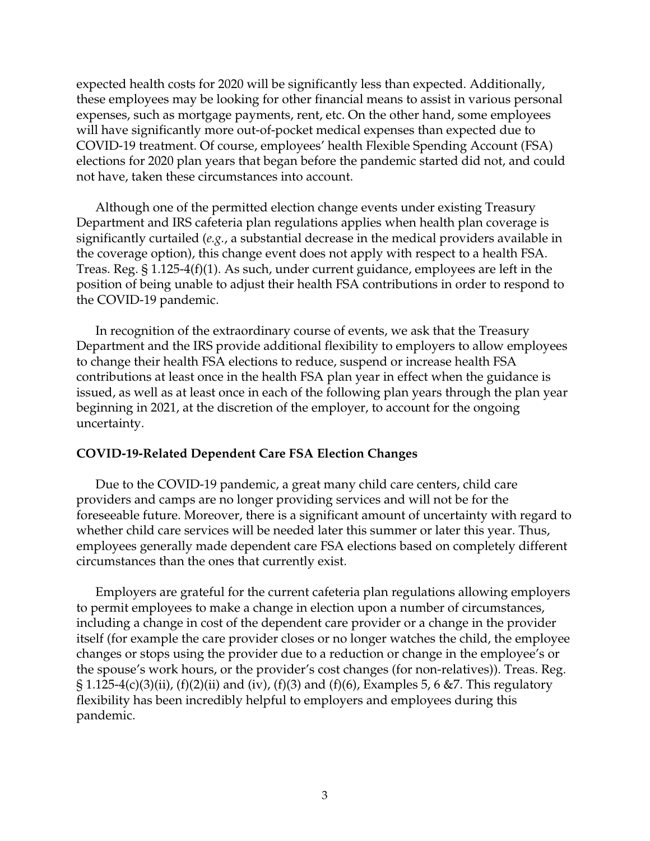expected health costs for 2020 will be significantly less than expected. Additionally, these employees may be looking for other financial means to assist in various personal expenses, such as mortgage payments, rent, etc. On the other hand, some employees will have significantly more out-of-pocket medical expenses than expected due to COVID-19 treatment. Of course, employees' health Flexible Spending Account (FSA) elections for 2020 plan years that began before the pandemic started did not, and could not have, taken these circumstances into account.

Although one of the permitted election change events under existing Treasury Department and IRS cafeteria plan regulations applies when health plan coverage is significantly curtailed (*e.g.*, a substantial decrease in the medical providers available in the coverage option), this change event does not apply with respect to a health FSA. Treas. Reg. § 1.125-4(f)(1). As such, under current guidance, employees are left in the position of being unable to adjust their health FSA contributions in order to respond to the COVID-19 pandemic.

In recognition of the extraordinary course of events, we ask that the Treasury Department and the IRS provide additional flexibility to employers to allow employees to change their health FSA elections to reduce, suspend or increase health FSA contributions at least once in the health FSA plan year in effect when the guidance is issued, as well as at least once in each of the following plan years through the plan year beginning in 2021, at the discretion of the employer, to account for the ongoing uncertainty.

### **COVID-19-Related Dependent Care FSA Election Changes**

Due to the COVID-19 pandemic, a great many child care centers, child care providers and camps are no longer providing services and will not be for the foreseeable future. Moreover, there is a significant amount of uncertainty with regard to whether child care services will be needed later this summer or later this year. Thus, employees generally made dependent care FSA elections based on completely different circumstances than the ones that currently exist.

Employers are grateful for the current cafeteria plan regulations allowing employers to permit employees to make a change in election upon a number of circumstances, including a change in cost of the dependent care provider or a change in the provider itself (for example the care provider closes or no longer watches the child, the employee changes or stops using the provider due to a reduction or change in the employee's or the spouse's work hours, or the provider's cost changes (for non-relatives)). Treas. Reg.  $\S 1.125-4(c)(3)(ii)$ , (f)(2)(ii) and (iv), (f)(3) and (f)(6), Examples 5, 6 &7. This regulatory flexibility has been incredibly helpful to employers and employees during this pandemic.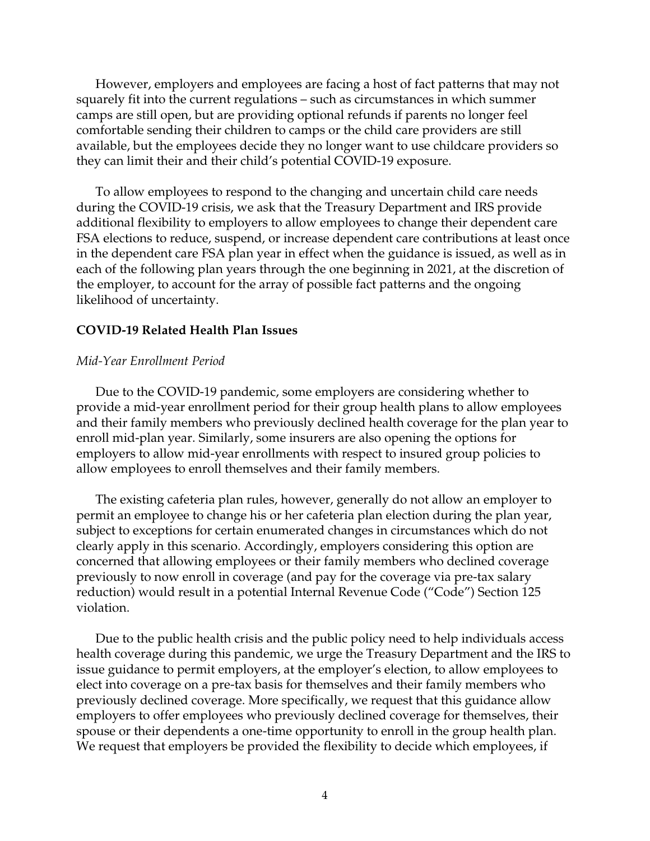However, employers and employees are facing a host of fact patterns that may not squarely fit into the current regulations – such as circumstances in which summer camps are still open, but are providing optional refunds if parents no longer feel comfortable sending their children to camps or the child care providers are still available, but the employees decide they no longer want to use childcare providers so they can limit their and their child's potential COVID-19 exposure.

To allow employees to respond to the changing and uncertain child care needs during the COVID-19 crisis, we ask that the Treasury Department and IRS provide additional flexibility to employers to allow employees to change their dependent care FSA elections to reduce, suspend, or increase dependent care contributions at least once in the dependent care FSA plan year in effect when the guidance is issued, as well as in each of the following plan years through the one beginning in 2021, at the discretion of the employer, to account for the array of possible fact patterns and the ongoing likelihood of uncertainty.

### **COVID-19 Related Health Plan Issues**

### *Mid-Year Enrollment Period*

Due to the COVID-19 pandemic, some employers are considering whether to provide a mid-year enrollment period for their group health plans to allow employees and their family members who previously declined health coverage for the plan year to enroll mid-plan year. Similarly, some insurers are also opening the options for employers to allow mid-year enrollments with respect to insured group policies to allow employees to enroll themselves and their family members.

The existing cafeteria plan rules, however, generally do not allow an employer to permit an employee to change his or her cafeteria plan election during the plan year, subject to exceptions for certain enumerated changes in circumstances which do not clearly apply in this scenario. Accordingly, employers considering this option are concerned that allowing employees or their family members who declined coverage previously to now enroll in coverage (and pay for the coverage via pre-tax salary reduction) would result in a potential Internal Revenue Code ("Code") Section 125 violation.

Due to the public health crisis and the public policy need to help individuals access health coverage during this pandemic, we urge the Treasury Department and the IRS to issue guidance to permit employers, at the employer's election, to allow employees to elect into coverage on a pre-tax basis for themselves and their family members who previously declined coverage. More specifically, we request that this guidance allow employers to offer employees who previously declined coverage for themselves, their spouse or their dependents a one-time opportunity to enroll in the group health plan. We request that employers be provided the flexibility to decide which employees, if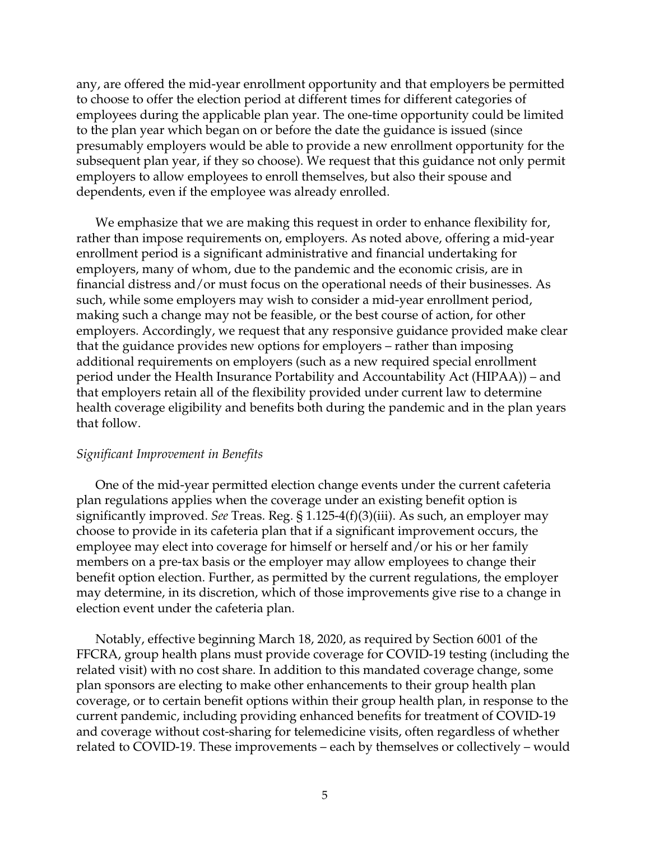any, are offered the mid-year enrollment opportunity and that employers be permitted to choose to offer the election period at different times for different categories of employees during the applicable plan year. The one-time opportunity could be limited to the plan year which began on or before the date the guidance is issued (since presumably employers would be able to provide a new enrollment opportunity for the subsequent plan year, if they so choose). We request that this guidance not only permit employers to allow employees to enroll themselves, but also their spouse and dependents, even if the employee was already enrolled.

We emphasize that we are making this request in order to enhance flexibility for, rather than impose requirements on, employers. As noted above, offering a mid-year enrollment period is a significant administrative and financial undertaking for employers, many of whom, due to the pandemic and the economic crisis, are in financial distress and/or must focus on the operational needs of their businesses. As such, while some employers may wish to consider a mid-year enrollment period, making such a change may not be feasible, or the best course of action, for other employers. Accordingly, we request that any responsive guidance provided make clear that the guidance provides new options for employers – rather than imposing additional requirements on employers (such as a new required special enrollment period under the Health Insurance Portability and Accountability Act (HIPAA)) – and that employers retain all of the flexibility provided under current law to determine health coverage eligibility and benefits both during the pandemic and in the plan years that follow.

### *Significant Improvement in Benefits*

One of the mid-year permitted election change events under the current cafeteria plan regulations applies when the coverage under an existing benefit option is significantly improved. *See* Treas. Reg. § 1.125-4(f)(3)(iii). As such, an employer may choose to provide in its cafeteria plan that if a significant improvement occurs, the employee may elect into coverage for himself or herself and/or his or her family members on a pre-tax basis or the employer may allow employees to change their benefit option election. Further, as permitted by the current regulations, the employer may determine, in its discretion, which of those improvements give rise to a change in election event under the cafeteria plan.

Notably, effective beginning March 18, 2020, as required by Section 6001 of the FFCRA, group health plans must provide coverage for COVID-19 testing (including the related visit) with no cost share. In addition to this mandated coverage change, some plan sponsors are electing to make other enhancements to their group health plan coverage, or to certain benefit options within their group health plan, in response to the current pandemic, including providing enhanced benefits for treatment of COVID-19 and coverage without cost-sharing for telemedicine visits, often regardless of whether related to COVID-19. These improvements – each by themselves or collectively – would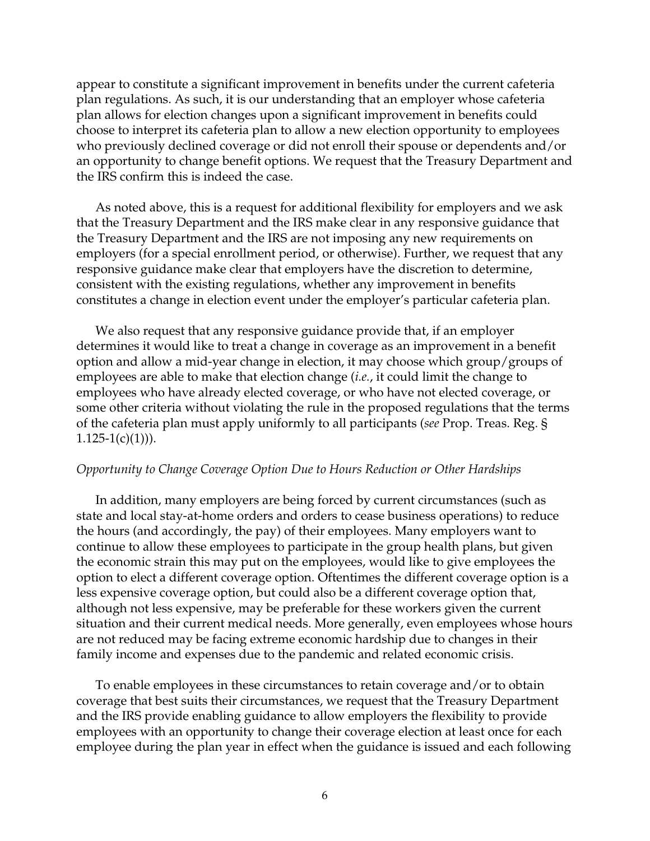appear to constitute a significant improvement in benefits under the current cafeteria plan regulations. As such, it is our understanding that an employer whose cafeteria plan allows for election changes upon a significant improvement in benefits could choose to interpret its cafeteria plan to allow a new election opportunity to employees who previously declined coverage or did not enroll their spouse or dependents and/or an opportunity to change benefit options. We request that the Treasury Department and the IRS confirm this is indeed the case.

As noted above, this is a request for additional flexibility for employers and we ask that the Treasury Department and the IRS make clear in any responsive guidance that the Treasury Department and the IRS are not imposing any new requirements on employers (for a special enrollment period, or otherwise). Further, we request that any responsive guidance make clear that employers have the discretion to determine, consistent with the existing regulations, whether any improvement in benefits constitutes a change in election event under the employer's particular cafeteria plan.

We also request that any responsive guidance provide that, if an employer determines it would like to treat a change in coverage as an improvement in a benefit option and allow a mid-year change in election, it may choose which group/groups of employees are able to make that election change (*i.e.*, it could limit the change to employees who have already elected coverage, or who have not elected coverage, or some other criteria without violating the rule in the proposed regulations that the terms of the cafeteria plan must apply uniformly to all participants (*see* Prop. Treas. Reg. §  $1.125-1(c)(1))$ ).

### *Opportunity to Change Coverage Option Due to Hours Reduction or Other Hardships*

In addition, many employers are being forced by current circumstances (such as state and local stay-at-home orders and orders to cease business operations) to reduce the hours (and accordingly, the pay) of their employees. Many employers want to continue to allow these employees to participate in the group health plans, but given the economic strain this may put on the employees, would like to give employees the option to elect a different coverage option. Oftentimes the different coverage option is a less expensive coverage option, but could also be a different coverage option that, although not less expensive, may be preferable for these workers given the current situation and their current medical needs. More generally, even employees whose hours are not reduced may be facing extreme economic hardship due to changes in their family income and expenses due to the pandemic and related economic crisis.

To enable employees in these circumstances to retain coverage and/or to obtain coverage that best suits their circumstances, we request that the Treasury Department and the IRS provide enabling guidance to allow employers the flexibility to provide employees with an opportunity to change their coverage election at least once for each employee during the plan year in effect when the guidance is issued and each following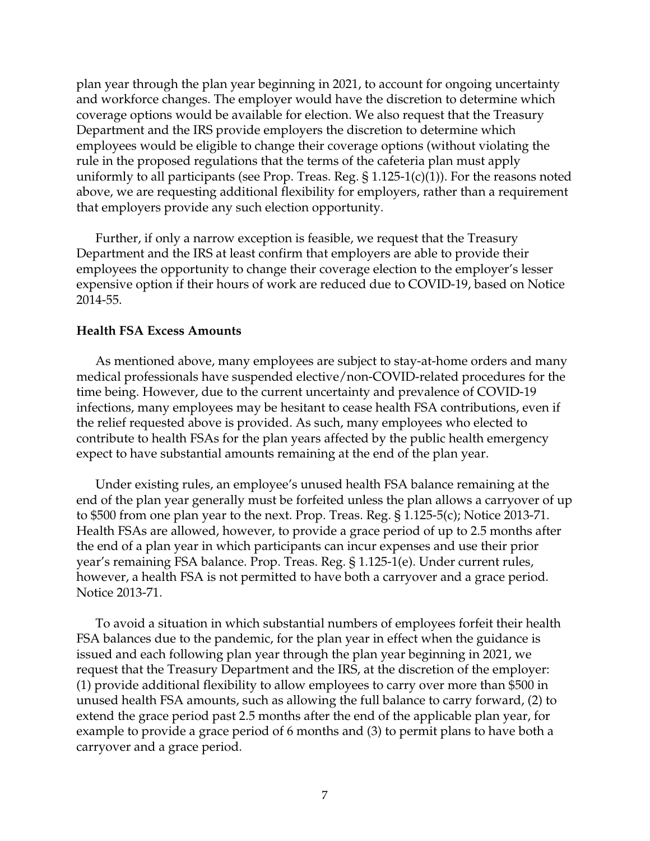plan year through the plan year beginning in 2021, to account for ongoing uncertainty and workforce changes. The employer would have the discretion to determine which coverage options would be available for election. We also request that the Treasury Department and the IRS provide employers the discretion to determine which employees would be eligible to change their coverage options (without violating the rule in the proposed regulations that the terms of the cafeteria plan must apply uniformly to all participants (see Prop. Treas. Reg.  $\S 1.125-1(c)(1)$ ). For the reasons noted above, we are requesting additional flexibility for employers, rather than a requirement that employers provide any such election opportunity.

Further, if only a narrow exception is feasible, we request that the Treasury Department and the IRS at least confirm that employers are able to provide their employees the opportunity to change their coverage election to the employer's lesser expensive option if their hours of work are reduced due to COVID-19, based on Notice 2014-55.

## **Health FSA Excess Amounts**

As mentioned above, many employees are subject to stay-at-home orders and many medical professionals have suspended elective/non-COVID-related procedures for the time being. However, due to the current uncertainty and prevalence of COVID-19 infections, many employees may be hesitant to cease health FSA contributions, even if the relief requested above is provided. As such, many employees who elected to contribute to health FSAs for the plan years affected by the public health emergency expect to have substantial amounts remaining at the end of the plan year.

Under existing rules, an employee's unused health FSA balance remaining at the end of the plan year generally must be forfeited unless the plan allows a carryover of up to \$500 from one plan year to the next. Prop. Treas. Reg. § 1.125-5(c); Notice 2013-71. Health FSAs are allowed, however, to provide a grace period of up to 2.5 months after the end of a plan year in which participants can incur expenses and use their prior year's remaining FSA balance. Prop. Treas. Reg. § 1.125-1(e). Under current rules, however, a health FSA is not permitted to have both a carryover and a grace period. Notice 2013-71.

To avoid a situation in which substantial numbers of employees forfeit their health FSA balances due to the pandemic, for the plan year in effect when the guidance is issued and each following plan year through the plan year beginning in 2021, we request that the Treasury Department and the IRS, at the discretion of the employer: (1) provide additional flexibility to allow employees to carry over more than \$500 in unused health FSA amounts, such as allowing the full balance to carry forward, (2) to extend the grace period past 2.5 months after the end of the applicable plan year, for example to provide a grace period of 6 months and (3) to permit plans to have both a carryover and a grace period.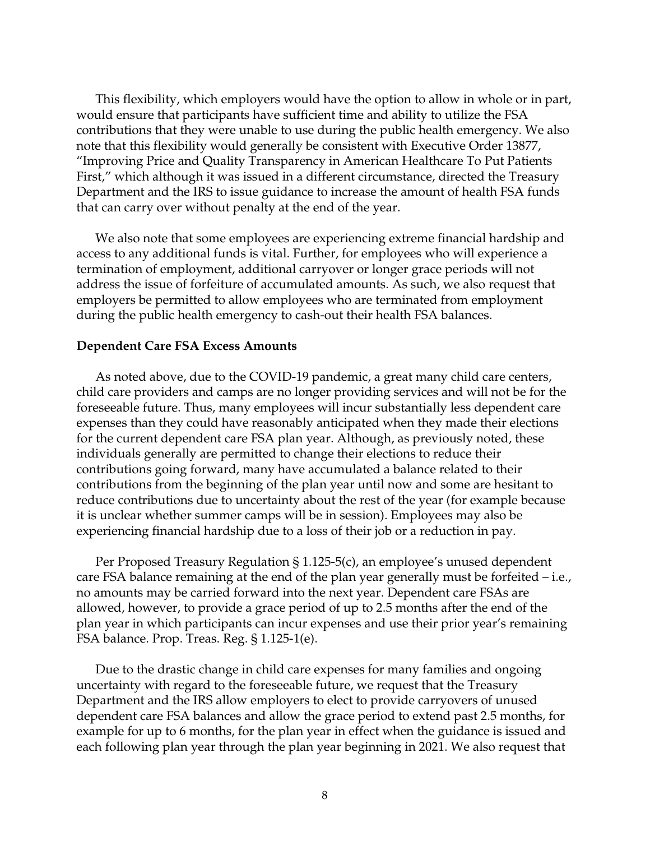This flexibility, which employers would have the option to allow in whole or in part, would ensure that participants have sufficient time and ability to utilize the FSA contributions that they were unable to use during the public health emergency. We also note that this flexibility would generally be consistent with Executive Order 13877, "Improving Price and Quality Transparency in American Healthcare To Put Patients First," which although it was issued in a different circumstance, directed the Treasury Department and the IRS to issue guidance to increase the amount of health FSA funds that can carry over without penalty at the end of the year.

We also note that some employees are experiencing extreme financial hardship and access to any additional funds is vital. Further, for employees who will experience a termination of employment, additional carryover or longer grace periods will not address the issue of forfeiture of accumulated amounts. As such, we also request that employers be permitted to allow employees who are terminated from employment during the public health emergency to cash-out their health FSA balances.

### **Dependent Care FSA Excess Amounts**

As noted above, due to the COVID-19 pandemic, a great many child care centers, child care providers and camps are no longer providing services and will not be for the foreseeable future. Thus, many employees will incur substantially less dependent care expenses than they could have reasonably anticipated when they made their elections for the current dependent care FSA plan year. Although, as previously noted, these individuals generally are permitted to change their elections to reduce their contributions going forward, many have accumulated a balance related to their contributions from the beginning of the plan year until now and some are hesitant to reduce contributions due to uncertainty about the rest of the year (for example because it is unclear whether summer camps will be in session). Employees may also be experiencing financial hardship due to a loss of their job or a reduction in pay.

Per Proposed Treasury Regulation § 1.125-5(c), an employee's unused dependent care FSA balance remaining at the end of the plan year generally must be forfeited – i.e., no amounts may be carried forward into the next year. Dependent care FSAs are allowed, however, to provide a grace period of up to 2.5 months after the end of the plan year in which participants can incur expenses and use their prior year's remaining FSA balance. Prop. Treas. Reg. § 1.125-1(e).

Due to the drastic change in child care expenses for many families and ongoing uncertainty with regard to the foreseeable future, we request that the Treasury Department and the IRS allow employers to elect to provide carryovers of unused dependent care FSA balances and allow the grace period to extend past 2.5 months, for example for up to 6 months, for the plan year in effect when the guidance is issued and each following plan year through the plan year beginning in 2021. We also request that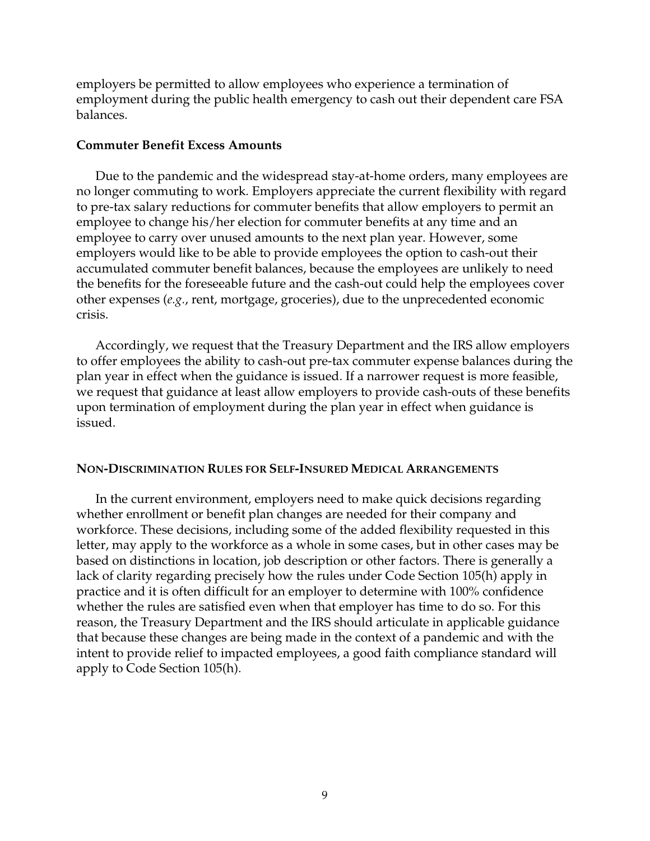employers be permitted to allow employees who experience a termination of employment during the public health emergency to cash out their dependent care FSA balances.

### **Commuter Benefit Excess Amounts**

Due to the pandemic and the widespread stay-at-home orders, many employees are no longer commuting to work. Employers appreciate the current flexibility with regard to pre-tax salary reductions for commuter benefits that allow employers to permit an employee to change his/her election for commuter benefits at any time and an employee to carry over unused amounts to the next plan year. However, some employers would like to be able to provide employees the option to cash-out their accumulated commuter benefit balances, because the employees are unlikely to need the benefits for the foreseeable future and the cash-out could help the employees cover other expenses (*e.g.*, rent, mortgage, groceries), due to the unprecedented economic crisis.

Accordingly, we request that the Treasury Department and the IRS allow employers to offer employees the ability to cash-out pre-tax commuter expense balances during the plan year in effect when the guidance is issued. If a narrower request is more feasible, we request that guidance at least allow employers to provide cash-outs of these benefits upon termination of employment during the plan year in effect when guidance is issued.

### **NON-DISCRIMINATION RULES FOR SELF-INSURED MEDICAL ARRANGEMENTS**

In the current environment, employers need to make quick decisions regarding whether enrollment or benefit plan changes are needed for their company and workforce. These decisions, including some of the added flexibility requested in this letter, may apply to the workforce as a whole in some cases, but in other cases may be based on distinctions in location, job description or other factors. There is generally a lack of clarity regarding precisely how the rules under Code Section 105(h) apply in practice and it is often difficult for an employer to determine with 100% confidence whether the rules are satisfied even when that employer has time to do so. For this reason, the Treasury Department and the IRS should articulate in applicable guidance that because these changes are being made in the context of a pandemic and with the intent to provide relief to impacted employees, a good faith compliance standard will apply to Code Section 105(h).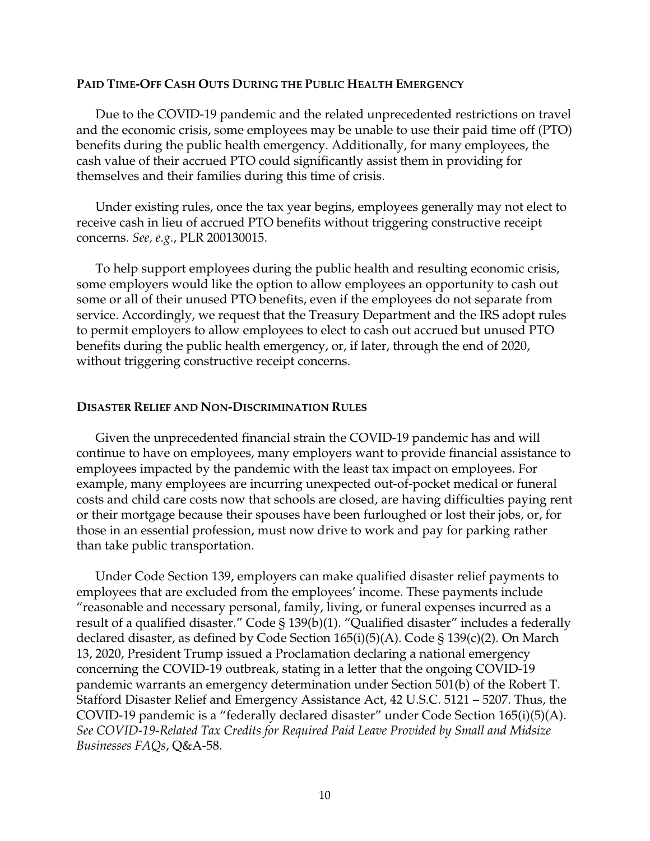### **PAID TIME-OFF CASH OUTS DURING THE PUBLIC HEALTH EMERGENCY**

Due to the COVID-19 pandemic and the related unprecedented restrictions on travel and the economic crisis, some employees may be unable to use their paid time off (PTO) benefits during the public health emergency. Additionally, for many employees, the cash value of their accrued PTO could significantly assist them in providing for themselves and their families during this time of crisis.

Under existing rules, once the tax year begins, employees generally may not elect to receive cash in lieu of accrued PTO benefits without triggering constructive receipt concerns. *See, e.g*., PLR 200130015.

To help support employees during the public health and resulting economic crisis, some employers would like the option to allow employees an opportunity to cash out some or all of their unused PTO benefits, even if the employees do not separate from service. Accordingly, we request that the Treasury Department and the IRS adopt rules to permit employers to allow employees to elect to cash out accrued but unused PTO benefits during the public health emergency, or, if later, through the end of 2020, without triggering constructive receipt concerns.

#### **DISASTER RELIEF AND NON-DISCRIMINATION RULES**

Given the unprecedented financial strain the COVID-19 pandemic has and will continue to have on employees, many employers want to provide financial assistance to employees impacted by the pandemic with the least tax impact on employees. For example, many employees are incurring unexpected out-of-pocket medical or funeral costs and child care costs now that schools are closed, are having difficulties paying rent or their mortgage because their spouses have been furloughed or lost their jobs, or, for those in an essential profession, must now drive to work and pay for parking rather than take public transportation.

Under Code Section 139, employers can make qualified disaster relief payments to employees that are excluded from the employees' income. These payments include "reasonable and necessary personal, family, living, or funeral expenses incurred as a result of a qualified disaster." Code § 139(b)(1). "Qualified disaster" includes a federally declared disaster, as defined by Code Section 165(i)(5)(A). Code § 139(c)(2). On March 13, 2020, President Trump issued a Proclamation declaring a national emergency concerning the COVID-19 outbreak, stating in a letter that the ongoing COVID-19 pandemic warrants an emergency determination under Section 501(b) of the Robert T. Stafford Disaster Relief and Emergency Assistance Act, 42 U.S.C. 5121 – 5207. Thus, the COVID-19 pandemic is a "federally declared disaster" under Code Section 165(i)(5)(A). *See COVID-19-Related Tax Credits for Required Paid Leave Provided by Small and Midsize Businesses FAQs*, Q&A-58.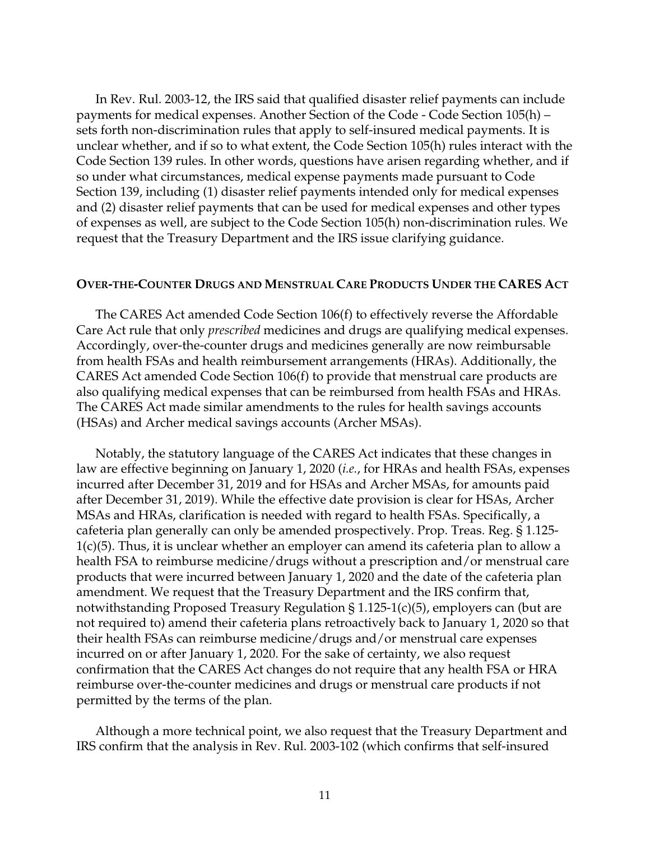In Rev. Rul. 2003-12, the IRS said that qualified disaster relief payments can include payments for medical expenses. Another Section of the Code - Code Section 105(h) – sets forth non-discrimination rules that apply to self-insured medical payments. It is unclear whether, and if so to what extent, the Code Section 105(h) rules interact with the Code Section 139 rules. In other words, questions have arisen regarding whether, and if so under what circumstances, medical expense payments made pursuant to Code Section 139, including (1) disaster relief payments intended only for medical expenses and (2) disaster relief payments that can be used for medical expenses and other types of expenses as well, are subject to the Code Section 105(h) non-discrimination rules. We request that the Treasury Department and the IRS issue clarifying guidance.

### **OVER-THE-COUNTER DRUGS AND MENSTRUAL CARE PRODUCTS UNDER THE CARES ACT**

The CARES Act amended Code Section 106(f) to effectively reverse the Affordable Care Act rule that only *prescribed* medicines and drugs are qualifying medical expenses. Accordingly, over-the-counter drugs and medicines generally are now reimbursable from health FSAs and health reimbursement arrangements (HRAs). Additionally, the CARES Act amended Code Section 106(f) to provide that menstrual care products are also qualifying medical expenses that can be reimbursed from health FSAs and HRAs. The CARES Act made similar amendments to the rules for health savings accounts (HSAs) and Archer medical savings accounts (Archer MSAs).

Notably, the statutory language of the CARES Act indicates that these changes in law are effective beginning on January 1, 2020 (*i.e.*, for HRAs and health FSAs, expenses incurred after December 31, 2019 and for HSAs and Archer MSAs, for amounts paid after December 31, 2019). While the effective date provision is clear for HSAs, Archer MSAs and HRAs, clarification is needed with regard to health FSAs. Specifically, a cafeteria plan generally can only be amended prospectively. Prop. Treas. Reg. § 1.125- 1(c)(5). Thus, it is unclear whether an employer can amend its cafeteria plan to allow a health FSA to reimburse medicine/drugs without a prescription and/or menstrual care products that were incurred between January 1, 2020 and the date of the cafeteria plan amendment. We request that the Treasury Department and the IRS confirm that, notwithstanding Proposed Treasury Regulation  $\S 1.125-1(c)(5)$ , employers can (but are not required to) amend their cafeteria plans retroactively back to January 1, 2020 so that their health FSAs can reimburse medicine/drugs and/or menstrual care expenses incurred on or after January 1, 2020. For the sake of certainty, we also request confirmation that the CARES Act changes do not require that any health FSA or HRA reimburse over-the-counter medicines and drugs or menstrual care products if not permitted by the terms of the plan.

Although a more technical point, we also request that the Treasury Department and IRS confirm that the analysis in Rev. Rul. 2003-102 (which confirms that self-insured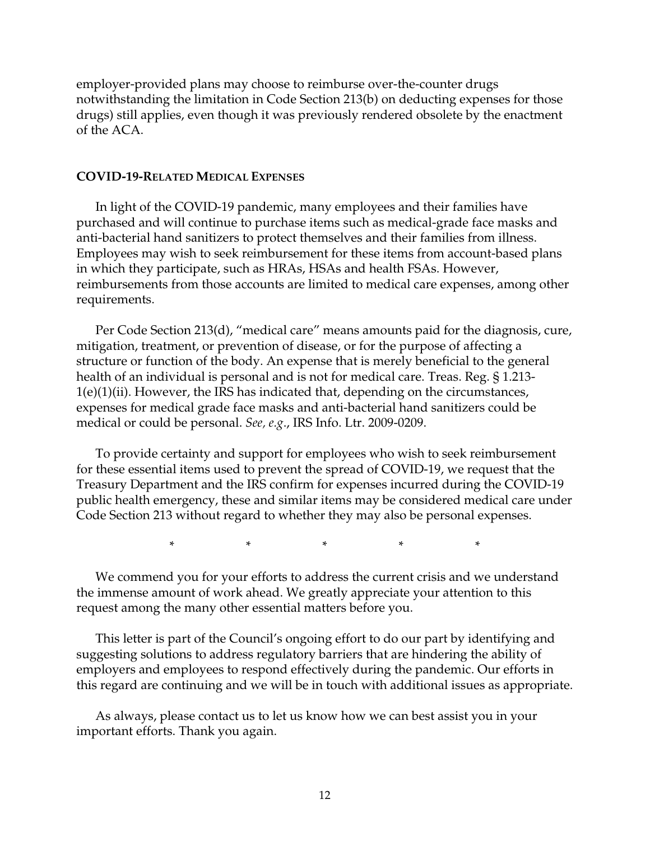employer-provided plans may choose to reimburse over-the-counter drugs notwithstanding the limitation in Code Section 213(b) on deducting expenses for those drugs) still applies, even though it was previously rendered obsolete by the enactment of the ACA.

### **COVID-19-RELATED MEDICAL EXPENSES**

In light of the COVID-19 pandemic, many employees and their families have purchased and will continue to purchase items such as medical-grade face masks and anti-bacterial hand sanitizers to protect themselves and their families from illness. Employees may wish to seek reimbursement for these items from account-based plans in which they participate, such as HRAs, HSAs and health FSAs. However, reimbursements from those accounts are limited to medical care expenses, among other requirements.

Per Code Section 213(d), "medical care" means amounts paid for the diagnosis, cure, mitigation, treatment, or prevention of disease, or for the purpose of affecting a structure or function of the body. An expense that is merely beneficial to the general health of an individual is personal and is not for medical care. Treas. Reg. § 1.213- 1(e)(1)(ii). However, the IRS has indicated that, depending on the circumstances, expenses for medical grade face masks and anti-bacterial hand sanitizers could be medical or could be personal. *See, e.g*., IRS Info. Ltr. 2009-0209.

To provide certainty and support for employees who wish to seek reimbursement for these essential items used to prevent the spread of COVID-19, we request that the Treasury Department and the IRS confirm for expenses incurred during the COVID-19 public health emergency, these and similar items may be considered medical care under Code Section 213 without regard to whether they may also be personal expenses.

\* \* \* \* \*

We commend you for your efforts to address the current crisis and we understand the immense amount of work ahead. We greatly appreciate your attention to this request among the many other essential matters before you.

This letter is part of the Council's ongoing effort to do our part by identifying and suggesting solutions to address regulatory barriers that are hindering the ability of employers and employees to respond effectively during the pandemic. Our efforts in this regard are continuing and we will be in touch with additional issues as appropriate.

As always, please contact us to let us know how we can best assist you in your important efforts. Thank you again.